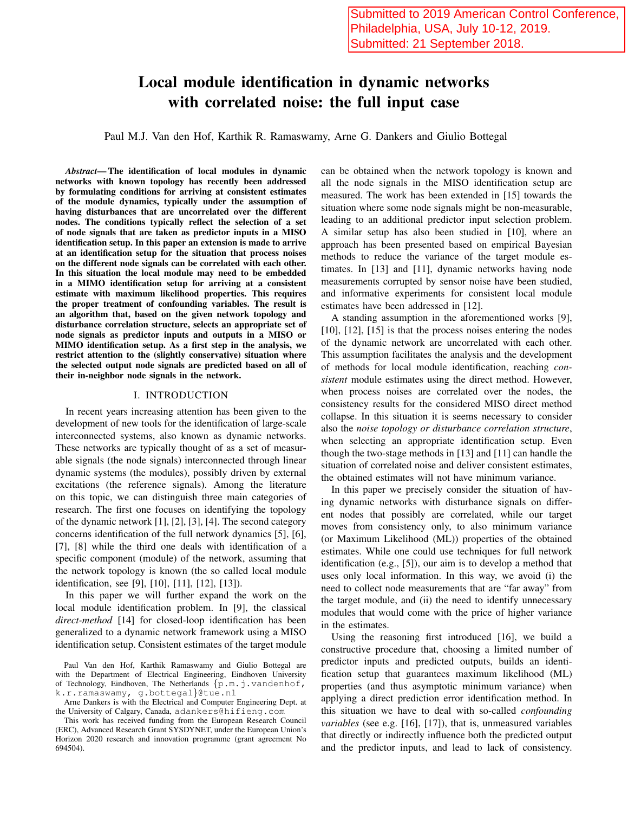# Local module identification in dynamic networks with correlated noise: the full input case

Paul M.J. Van den Hof, Karthik R. Ramaswamy, Arne G. Dankers and Giulio Bottegal

*Abstract*— The identification of local modules in dynamic networks with known topology has recently been addressed by formulating conditions for arriving at consistent estimates of the module dynamics, typically under the assumption of having disturbances that are uncorrelated over the different nodes. The conditions typically reflect the selection of a set of node signals that are taken as predictor inputs in a MISO identification setup. In this paper an extension is made to arrive at an identification setup for the situation that process noises on the different node signals can be correlated with each other. In this situation the local module may need to be embedded in a MIMO identification setup for arriving at a consistent estimate with maximum likelihood properties. This requires the proper treatment of confounding variables. The result is an algorithm that, based on the given network topology and disturbance correlation structure, selects an appropriate set of node signals as predictor inputs and outputs in a MISO or MIMO identification setup. As a first step in the analysis, we restrict attention to the (slightly conservative) situation where the selected output node signals are predicted based on all of their in-neighbor node signals in the network.

### I. INTRODUCTION

In recent years increasing attention has been given to the development of new tools for the identification of large-scale interconnected systems, also known as dynamic networks. These networks are typically thought of as a set of measurable signals (the node signals) interconnected through linear dynamic systems (the modules), possibly driven by external excitations (the reference signals). Among the literature on this topic, we can distinguish three main categories of research. The first one focuses on identifying the topology of the dynamic network [1], [2], [3], [4]. The second category concerns identification of the full network dynamics [5], [6], [7], [8] while the third one deals with identification of a specific component (module) of the network, assuming that the network topology is known (the so called local module identification, see [9], [10], [11], [12], [13]).

In this paper we will further expand the work on the local module identification problem. In [9], the classical *direct-method* [14] for closed-loop identification has been generalized to a dynamic network framework using a MISO identification setup. Consistent estimates of the target module can be obtained when the network topology is known and all the node signals in the MISO identification setup are measured. The work has been extended in [15] towards the situation where some node signals might be non-measurable, leading to an additional predictor input selection problem. A similar setup has also been studied in [10], where an approach has been presented based on empirical Bayesian methods to reduce the variance of the target module estimates. In [13] and [11], dynamic networks having node measurements corrupted by sensor noise have been studied, and informative experiments for consistent local module estimates have been addressed in [12].

A standing assumption in the aforementioned works [9], [10], [12], [15] is that the process noises entering the nodes of the dynamic network are uncorrelated with each other. This assumption facilitates the analysis and the development of methods for local module identification, reaching *consistent* module estimates using the direct method. However, when process noises are correlated over the nodes, the consistency results for the considered MISO direct method collapse. In this situation it is seems necessary to consider also the *noise topology or disturbance correlation structure*, when selecting an appropriate identification setup. Even though the two-stage methods in [13] and [11] can handle the situation of correlated noise and deliver consistent estimates, the obtained estimates will not have minimum variance.

In this paper we precisely consider the situation of having dynamic networks with disturbance signals on different nodes that possibly are correlated, while our target moves from consistency only, to also minimum variance (or Maximum Likelihood (ML)) properties of the obtained estimates. While one could use techniques for full network identification (e.g., [5]), our aim is to develop a method that uses only local information. In this way, we avoid (i) the need to collect node measurements that are "far away" from the target module, and (ii) the need to identify unnecessary modules that would come with the price of higher variance in the estimates.

Using the reasoning first introduced [16], we build a constructive procedure that, choosing a limited number of predictor inputs and predicted outputs, builds an identification setup that guarantees maximum likelihood (ML) properties (and thus asymptotic minimum variance) when applying a direct prediction error identification method. In this situation we have to deal with so-called *confounding variables* (see e.g. [16], [17]), that is, unmeasured variables that directly or indirectly influence both the predicted output and the predictor inputs, and lead to lack of consistency.

Paul Van den Hof, Karthik Ramaswamy and Giulio Bottegal are with the Department of Electrical Engineering, Eindhoven University of Technology, Eindhoven, The Netherlands  $\{p.m.j.vandenhof,$ k.r.ramaswamy, g.bottegal}@tue.nl

Arne Dankers is with the Electrical and Computer Engineering Dept. at the University of Calgary, Canada, adankers@hifieng.com

This work has received funding from the European Research Council (ERC), Advanced Research Grant SYSDYNET, under the European Union's Horizon 2020 research and innovation programme (grant agreement No 694504).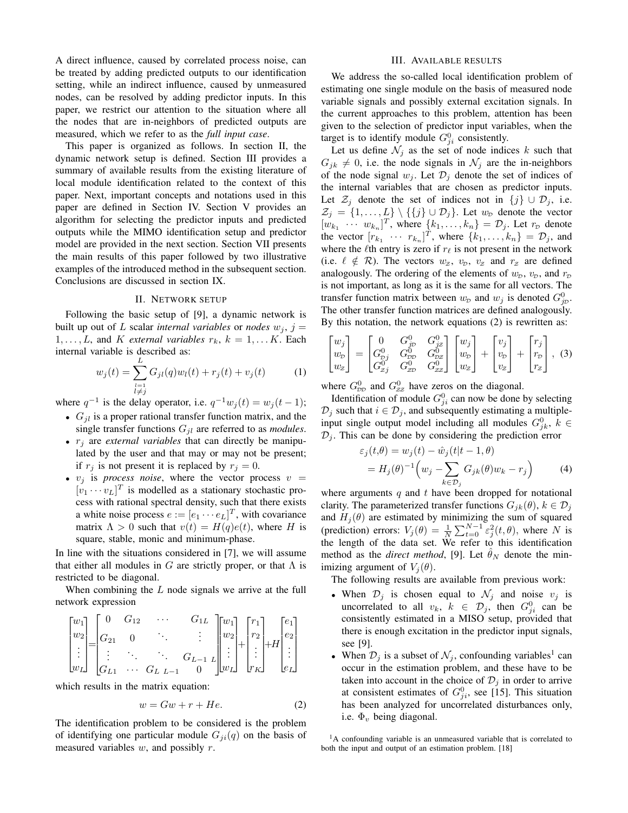A direct influence, caused by correlated process noise, can be treated by adding predicted outputs to our identification setting, while an indirect influence, caused by unmeasured nodes, can be resolved by adding predictor inputs. In this paper, we restrict our attention to the situation where all the nodes that are in-neighbors of predicted outputs are measured, which we refer to as the *full input case*.

This paper is organized as follows. In section II, the dynamic network setup is defined. Section III provides a summary of available results from the existing literature of local module identification related to the context of this paper. Next, important concepts and notations used in this paper are defined in Section IV. Section V provides an algorithm for selecting the predictor inputs and predicted outputs while the MIMO identification setup and predictor model are provided in the next section. Section VII presents the main results of this paper followed by two illustrative examples of the introduced method in the subsequent section. Conclusions are discussed in section IX.

#### II. NETWORK SETUP

Following the basic setup of [9], a dynamic network is built up out of L scalar *internal variables* or *nodes*  $w_j$ ,  $j =$  $1, \ldots, L$ , and K *external variables*  $r_k$ ,  $k = 1, \ldots K$ . Each internal variable is described as:

$$
w_j(t) = \sum_{\substack{l=1\\l \neq j}}^L G_{jl}(q)w_l(t) + r_j(t) + v_j(t)
$$
 (1)

where  $q^{-1}$  is the delay operator, i.e.  $q^{-1}w_j(t) = w_j(t-1)$ ;

- $G_{il}$  is a proper rational transfer function matrix, and the single transfer functions  $G_{jl}$  are referred to as *modules*.
- $\bullet$   $r_i$  are *external variables* that can directly be manipulated by the user and that may or may not be present; if  $r_j$  is not present it is replaced by  $r_j = 0$ .
- $v_j$  is *process noise*, where the vector process  $v =$  $[v_1 \cdots v_L]^T$  is modelled as a stationary stochastic process with rational spectral density, such that there exists a white noise process  $e := [e_1 \cdots e_L]^T$ , with covariance matrix  $\Lambda > 0$  such that  $v(t) = H(q)e(t)$ , where H is square, stable, monic and minimum-phase.

In line with the situations considered in [7], we will assume that either all modules in G are strictly proper, or that  $\Lambda$  is restricted to be diagonal.

When combining the  $L$  node signals we arrive at the full network expression

$$
\begin{bmatrix} w_1 \\ w_2 \\ \vdots \\ w_L \end{bmatrix} = \begin{bmatrix} 0 & G_{12} & \cdots & G_{1L} \\ G_{21} & 0 & \ddots & \vdots \\ \vdots & \ddots & \ddots & G_{L-1} \\ G_{L1} & \cdots & G_{L} & L-1 & 0 \end{bmatrix} \begin{bmatrix} w_1 \\ w_2 \\ \vdots \\ w_L \end{bmatrix} + \begin{bmatrix} r_1 \\ r_2 \\ \vdots \\ r_K \end{bmatrix} + H \begin{bmatrix} e_1 \\ e_2 \\ \vdots \\ e_L \end{bmatrix}
$$

which results in the matrix equation:

$$
w = Gw + r + He.
$$
 (2)

The identification problem to be considered is the problem of identifying one particular module  $G_{ii}(q)$  on the basis of measured variables  $w$ , and possibly  $r$ .

## III. AVAILABLE RESULTS

We address the so-called local identification problem of estimating one single module on the basis of measured node variable signals and possibly external excitation signals. In the current approaches to this problem, attention has been given to the selection of predictor input variables, when the target is to identify module  $G_{ji}^0$  consistently.

Let us define  $\mathcal{N}_j$  as the set of node indices k such that  $G_{jk} \neq 0$ , i.e. the node signals in  $\mathcal{N}_j$  are the in-neighbors of the node signal  $w_i$ . Let  $\mathcal{D}_i$  denote the set of indices of the internal variables that are chosen as predictor inputs. Let  $\mathcal{Z}_j$  denote the set of indices not in  $\{j\} \cup \mathcal{D}_j$ , i.e.  $\mathcal{Z}_j = \{1, \ldots, L\} \setminus \{\{j\} \cup \mathcal{D}_j\}$ . Let  $w_{\mathcal{D}}$  denote the vector  $[w_{k_1} \cdots w_{k_n}]^T$ , where  $\{k_1, \ldots, k_n\} = \mathcal{D}_j$ . Let  $r_{\mathcal{D}}$  denote the vector  $[r_{k_1} \cdots r_{k_n}]^T$ , where  $\{k_1, \ldots, k_n\} = \mathcal{D}_j$ , and where the  $\ell$ th entry is zero if  $r_\ell$  is not present in the network (i.e.  $\ell \notin \mathcal{R}$ ). The vectors  $w_z$ ,  $v_p$ ,  $v_z$  and  $r_z$  are defined analogously. The ordering of the elements of  $w<sub>D</sub>$ ,  $v<sub>D</sub>$ , and  $r<sub>D</sub>$ is not important, as long as it is the same for all vectors. The transfer function matrix between  $w_p$  and  $w_j$  is denoted  $G_{j_p}^0$ . The other transfer function matrices are defined analogously. By this notation, the network equations (2) is rewritten as:

$$
\begin{bmatrix} w_j \\ w_p \\ w_z \end{bmatrix} = \begin{bmatrix} 0 & G_{jp}^0 & G_{jz}^0 \\ G_{pj}^0 & G_{pp}^0 & G_{pz}^0 \\ G_{zj}^0 & G_{zp}^0 & G_{zz}^0 \end{bmatrix} \begin{bmatrix} w_j \\ w_p \\ w_z \end{bmatrix} + \begin{bmatrix} v_j \\ v_p \\ v_z \end{bmatrix} + \begin{bmatrix} r_j \\ r_p \\ r_z \end{bmatrix},
$$
(3)

where  $G_{\text{DD}}^0$  and  $G_{\text{ZZ}}^0$  have zeros on the diagonal.

Identification of module  $G_{ji}^0$  can now be done by selecting  $\mathcal{D}_j$  such that  $i \in \mathcal{D}_j$ , and subsequently estimating a multipleinput single output model including all modules  $G_{jk}^0$ ,  $k \in$  $\mathcal{D}_i$ . This can be done by considering the prediction error

$$
\varepsilon_j(t,\theta) = w_j(t) - \hat{w}_j(t|t-1,\theta)
$$
  
=  $H_j(\theta)^{-1} \left( w_j - \sum_{k \in \mathcal{D}_j} G_{jk}(\theta) w_k - r_j \right)$  (4)

where arguments  $q$  and  $t$  have been dropped for notational clarity. The parameterized transfer functions  $G_{ik}(\theta)$ ,  $k \in \mathcal{D}_j$ and  $H_j(\theta)$  are estimated by minimizing the sum of squared (prediction) errors:  $V_j(\theta) = \frac{1}{N} \sum_{t=0}^{N-1} \varepsilon_j^2(t, \theta)$ , where N is the length of the data set. We refer to this identification method as the *direct method*, [9]. Let  $\theta_N$  denote the minimizing argument of  $V_i(\theta)$ .

The following results are available from previous work:

- When  $\mathcal{D}_j$  is chosen equal to  $\mathcal{N}_j$  and noise  $v_j$  is uncorrelated to all  $v_k$ ,  $k \in \mathcal{D}_j$ , then  $G_{ji}^0$  can be consistently estimated in a MISO setup, provided that there is enough excitation in the predictor input signals, see [9].
- When  $\mathcal{D}_j$  is a subset of  $\mathcal{N}_j$ , confounding variables<sup>1</sup> can occur in the estimation problem, and these have to be taken into account in the choice of  $\mathcal{D}_j$  in order to arrive at consistent estimates of  $G_{ji}^0$ , see [15]. This situation has been analyzed for uncorrelated disturbances only, i.e.  $\Phi_v$  being diagonal.

<sup>1</sup>A confounding variable is an unmeasured variable that is correlated to both the input and output of an estimation problem. [18]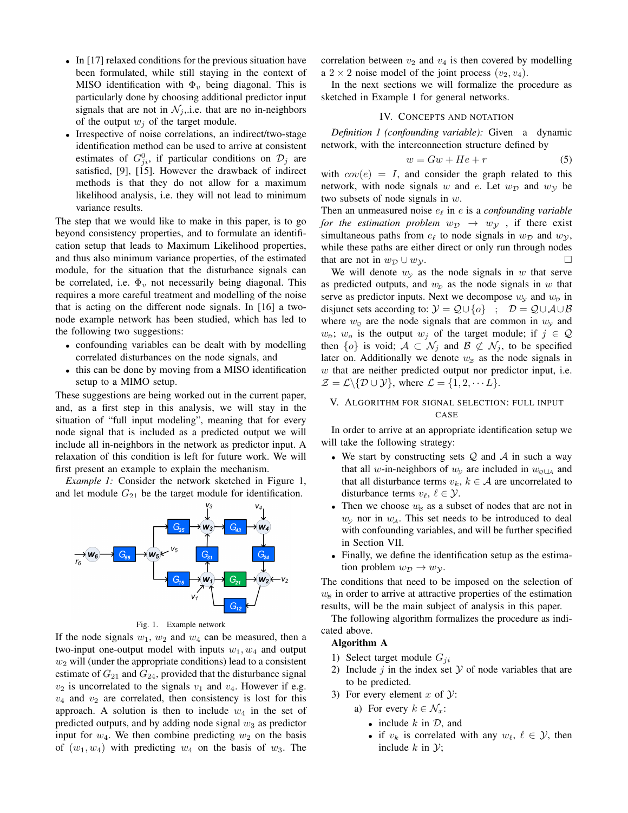- In [17] relaxed conditions for the previous situation have been formulated, while still staying in the context of MISO identification with  $\Phi_v$  being diagonal. This is particularly done by choosing additional predictor input signals that are not in  $\mathcal{N}_i$ , i.e. that are no in-neighbors of the output  $w_i$  of the target module.
- Irrespective of noise correlations, an indirect/two-stage identification method can be used to arrive at consistent estimates of  $G_{ji}^0$ , if particular conditions on  $\mathcal{D}_j$  are satisfied, [9], [15]. However the drawback of indirect methods is that they do not allow for a maximum likelihood analysis, i.e. they will not lead to minimum variance results.

The step that we would like to make in this paper, is to go beyond consistency properties, and to formulate an identification setup that leads to Maximum Likelihood properties, and thus also minimum variance properties, of the estimated module, for the situation that the disturbance signals can be correlated, i.e.  $\Phi_v$  not necessarily being diagonal. This requires a more careful treatment and modelling of the noise that is acting on the different node signals. In [16] a twonode example network has been studied, which has led to the following two suggestions:

- confounding variables can be dealt with by modelling correlated disturbances on the node signals, and
- this can be done by moving from a MISO identification setup to a MIMO setup.

These suggestions are being worked out in the current paper, and, as a first step in this analysis, we will stay in the situation of "full input modeling", meaning that for every node signal that is included as a predicted output we will include all in-neighbors in the network as predictor input. A relaxation of this condition is left for future work. We will first present an example to explain the mechanism.

*Example 1:* Consider the network sketched in Figure 1, and let module  $G_{21}$  be the target module for identification.



Fig. 1. Example network

If the node signals  $w_1$ ,  $w_2$  and  $w_4$  can be measured, then a two-input one-output model with inputs  $w_1, w_4$  and output  $w_2$  will (under the appropriate conditions) lead to a consistent estimate of  $G_{21}$  and  $G_{24}$ , provided that the disturbance signal  $v_2$  is uncorrelated to the signals  $v_1$  and  $v_4$ . However if e.g.  $v_4$  and  $v_2$  are correlated, then consistency is lost for this approach. A solution is then to include  $w_4$  in the set of predicted outputs, and by adding node signal  $w_3$  as predictor input for  $w_4$ . We then combine predicting  $w_2$  on the basis of  $(w_1, w_4)$  with predicting  $w_4$  on the basis of  $w_3$ . The correlation between  $v_2$  and  $v_4$  is then covered by modelling a  $2 \times 2$  noise model of the joint process  $(v_2, v_4)$ .

In the next sections we will formalize the procedure as sketched in Example 1 for general networks.

## IV. CONCEPTS AND NOTATION

*Definition 1 (confounding variable):* Given a dynamic network, with the interconnection structure defined by

$$
w = Gw + He + r \tag{5}
$$

with  $cov(e) = I$ , and consider the graph related to this network, with node signals w and e. Let  $w_{\mathcal{D}}$  and  $w_{\mathcal{Y}}$  be two subsets of node signals in  $w$ .

Then an unmeasured noise  $e_\ell$  in e is a *confounding variable for the estimation problem*  $w_{\mathcal{D}} \rightarrow w_{\mathcal{Y}}$ , if there exist simultaneous paths from  $e_\ell$  to node signals in  $w_\mathcal{D}$  and  $w_\mathcal{V}$ , while these paths are either direct or only run through nodes that are not in  $w_{\mathcal{D}} \cup w_{\mathcal{Y}}$ .

We will denote  $w_y$  as the node signals in w that serve as predicted outputs, and  $w<sub>D</sub>$  as the node signals in w that serve as predictor inputs. Next we decompose  $w_y$  and  $w_p$  in disjunct sets according to:  $\mathcal{Y} = \mathcal{Q} \cup \{o\}$  ;  $\mathcal{D} = \mathcal{Q} \cup \mathcal{A} \cup \mathcal{B}$ where  $w_{\Omega}$  are the node signals that are common in  $w_{\Omega}$  and  $w_{\mathcal{D}}$ ;  $w_o$  is the output  $w_j$  of the target module; if  $j \in \mathcal{Q}$ then  $\{o\}$  is void;  $A \subset \mathcal{N}_i$  and  $B \not\subset \mathcal{N}_i$ , to be specified later on. Additionally we denote  $w_z$  as the node signals in w that are neither predicted output nor predictor input, i.e.  $\mathcal{Z} = \mathcal{L} \setminus \{ \mathcal{D} \cup \mathcal{Y} \}, \text{ where } \mathcal{L} = \{ 1, 2, \cdots L \}.$ 

# V. ALGORITHM FOR SIGNAL SELECTION: FULL INPUT CASE

In order to arrive at an appropriate identification setup we will take the following strategy:

- We start by constructing sets  $Q$  and  $A$  in such a way that all w-in-neighbors of  $w_y$  are included in  $w_{\phi\downarrow A}$  and that all disturbance terms  $v_k$ ,  $k \in A$  are uncorrelated to disturbance terms  $v_{\ell}, \ell \in \mathcal{Y}$ .
- Then we choose  $w_B$  as a subset of nodes that are not in  $w_y$  nor in  $w_{\mathcal{A}}$ . This set needs to be introduced to deal with confounding variables, and will be further specified in Section VII.
- Finally, we define the identification setup as the estimation problem  $w_{\mathcal{D}} \to w_{\mathcal{Y}}$ .

The conditions that need to be imposed on the selection of  $w<sub>B</sub>$  in order to arrive at attractive properties of the estimation results, will be the main subject of analysis in this paper.

The following algorithm formalizes the procedure as indicated above.

## Algorithm A

- 1) Select target module  $G_{ii}$
- 2) Include  $j$  in the index set  $\mathcal Y$  of node variables that are to be predicted.
- 3) For every element  $x$  of  $Y$ :
	- a) For every  $k \in \mathcal{N}_x$ :
		- include  $k$  in  $\mathcal{D}$ , and
		- if  $v_k$  is correlated with any  $w_\ell, \ell \in \mathcal{Y}$ , then include  $k$  in  $\mathcal{Y}$ ;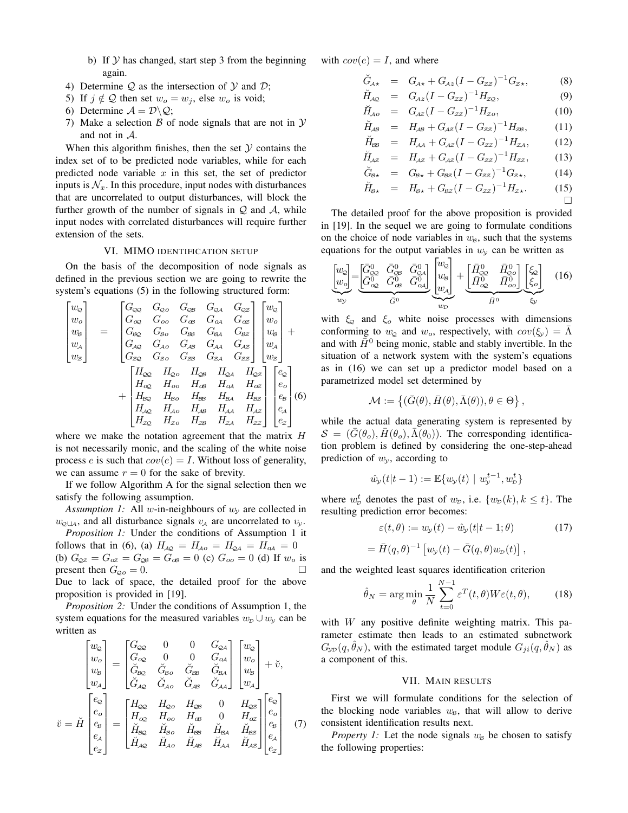- b) If  $Y$  has changed, start step 3 from the beginning again.
- 4) Determine  $Q$  as the intersection of  $Y$  and  $D$ ;
- 5) If  $j \notin Q$  then set  $w_o = w_j$ , else  $w_o$  is void;
- 6) Determine  $A = \mathcal{D} \backslash \mathcal{Q}$ ;
- 7) Make a selection  $\beta$  of node signals that are not in  $\mathcal Y$ and not in A.

When this algorithm finishes, then the set  $Y$  contains the index set of to be predicted node variables, while for each predicted node variable  $x$  in this set, the set of predictor inputs is  $\mathcal{N}_x$ . In this procedure, input nodes with disturbances that are uncorrelated to output disturbances, will block the further growth of the number of signals in  $Q$  and  $A$ , while input nodes with correlated disturbances will require further extension of the sets.

#### VI. MIMO IDENTIFICATION SETUP

On the basis of the decomposition of node signals as defined in the previous section we are going to rewrite the system's equations (5) in the following structured form:

$$
\begin{bmatrix} w_{\mathcal{Q}} \\ w_{o} \\ w_{\mathcal{B}} \\ w_{\mathcal{Z}} \end{bmatrix} = \begin{bmatrix} G_{\mathcal{Q}\mathcal{Q}} & G_{\mathcal{Q}\mathcal{O}} & G_{\mathcal{Q}\mathcal{B}} & G_{\mathcal{Q}\mathcal{A}} & G_{\mathcal{Q}\mathcal{Z}} \\ G_{\mathcal{Q}\mathcal{Q}} & G_{\mathcal{O}\mathcal{O}} & G_{\mathcal{Q}\mathcal{B}} & G_{\mathcal{Q}\mathcal{A}} & G_{\mathcal{Q}\mathcal{Z}} \\ G_{\mathcal{R}\mathcal{Q}} & G_{\mathcal{B}\mathcal{O}} & G_{\mathcal{R}\mathcal{B}} & G_{\mathcal{R}\mathcal{A}} & G_{\mathcal{R}\mathcal{Z}} \\ G_{\mathcal{A}\mathcal{Q}} & G_{\mathcal{A}\mathcal{O}} & G_{\mathcal{A}\mathcal{B}} & G_{\mathcal{A}\mathcal{A}} & G_{\mathcal{A}\mathcal{Z}} \\ G_{\mathcal{Z}\mathcal{Q}} & G_{\mathcal{Z}\mathcal{O}} & G_{\mathcal{Z}\mathcal{B}} & G_{\mathcal{Z}\mathcal{A}} & G_{\mathcal{Z}\mathcal{Z}} \end{bmatrix} \begin{bmatrix} w_{\mathcal{Q}} \\ w_{\mathcal{B}} \\ w_{\mathcal{A}} \\ w_{\mathcal{A}} \end{bmatrix} + \begin{bmatrix} H_{\mathcal{Q}\mathcal{Q}} & H_{\mathcal{Q}\mathcal{O}} & H_{\mathcal{Q}\mathcal{B}} & H_{\mathcal{Q}\mathcal{A}} & H_{\mathcal{Q}\mathcal{Z}} \\ H_{\mathcal{Q}\mathcal{Q}} & H_{\mathcal{Q}\mathcal{O}} & H_{\mathcal{Q}\mathcal{B}} & H_{\mathcal{Q}\mathcal{A}} & H_{\mathcal{Q}\mathcal{Z}} \\ H_{\mathcal{Q}\mathcal{Q}} & H_{\mathcal{Q}\mathcal{O}} & H_{\mathcal{Q}\mathcal{B}} & H_{\mathcal{Q}\mathcal{A}} & H_{\mathcal{Q}\mathcal{Z}} \\ H_{\mathcal{B}\mathcal{Q}} & H_{\mathcal{B}\mathcal{O}} & H_{\mathcal{B}\mathcal{B}} & H_{\mathcal{A}\mathcal{A}} & H_{\mathcal{A}\mathcal{Z}} \\ H_{\mathcal{A}\mathcal{Q}} & H_{\mathcal{A
$$

where we make the notation agreement that the matrix H is not necessarily monic, and the scaling of the white noise process e is such that  $cov(e) = I$ . Without loss of generality, we can assume  $r = 0$  for the sake of brevity.

If we follow Algorithm A for the signal selection then we satisfy the following assumption.

*Assumption 1:* All w-in-neighbours of  $w<sub>v</sub>$  are collected in  $w_{\text{ol}}$ <sub>A</sub>, and all disturbance signals  $v_A$  are uncorrelated to  $v_y$ .

*Proposition 1:* Under the conditions of Assumption 1 it follows that in (6), (a)  $H_{A\mathcal{Q}} = H_{A\mathcal{O}} = H_{\mathcal{Q}A} = H_{\mathcal{O}A} = 0$ (b)  $G_{\text{QZ}} = G_{\text{QZ}} = G_{\text{QB}} = G_{\text{QB}} = 0$  (c)  $G_{oo} = 0$  (d) If  $w_o$  is present then  $G_{\mathcal{Q}o} = 0$ . Due to lack of space, the detailed proof for the above proposition is provided in [19].

*Proposition 2:* Under the conditions of Assumption 1, the system equations for the measured variables  $w_D \cup w_y$  can be written as

$$
\tilde{v} = \tilde{H} \begin{bmatrix} w_{\mathcal{Q}} \\ w_{o} \\ w_{\mathcal{B}} \\ e_{\mathcal{A}} \\ e_{\mathcal{Z}} \end{bmatrix} = \begin{bmatrix} G_{\infty} & 0 & 0 & G_{\infty A} \\ G_{\infty} & 0 & 0 & G_{\alpha A} \\ \check{G}_{\infty} & \check{G}_{\infty} & \check{G}_{\infty} & \check{G}_{\infty A} \\ \check{G}_{\mathcal{A}\mathcal{Q}} & \check{G}_{\mathcal{A}\mathcal{Q}} & \check{G}_{\mathcal{A}\mathcal{B}} & \check{G}_{\mathcal{A}\mathcal{A}} \end{bmatrix} \begin{bmatrix} w_{\mathcal{Q}} \\ w_{o} \\ w_{s} \\ w_{s} \end{bmatrix} + \tilde{v},
$$
\n
$$
\tilde{v} = \tilde{H} \begin{bmatrix} e_{\mathcal{Q}} \\ e_{o} \\ e_{s} \\ e_{\mathcal{A}} \\ e_{\mathcal{Z}} \end{bmatrix} = \begin{bmatrix} H_{\infty} & H_{\infty} & H_{\infty} & 0 & H_{\infty Z} \\ H_{\infty} & H_{\infty} & H_{\infty} & 0 & H_{\infty Z} \\ H_{\infty} & \check{H}_{\infty} & \check{H}_{\infty} & \check{H}_{\infty} & \check{H}_{\infty Z} \\ \check{H}_{\mathcal{A}\mathcal{Q}} & \check{H}_{\mathcal{A}\mathcal{Q}} & \check{H}_{\mathcal{A}\mathcal{B}} & \check{H}_{\mathcal{A}\mathcal{A}} & \check{H}_{\mathcal{A}Z} \end{bmatrix} \begin{bmatrix} e_{\mathcal{Q}} \\ e_{o} \\ e_{s} \\ e_{s} \\ e_{z} \end{bmatrix} \quad (7)
$$

with  $cov(e) = I$ , and where

$$
\breve{G}_{A\star} = G_{A\star} + G_{Az}(I - G_{zz})^{-1}G_{z\star}, \tag{8}
$$

$$
\breve{H}_{\mathcal{A}\mathcal{Q}} = G_{\mathcal{A}z}(I - G_{zz})^{-1} H_{z\mathcal{Q}}, \tag{9}
$$

$$
\breve{H}_{Ao} = G_{Az} (I - G_{zz})^{-1} H_{zo}, \qquad (10)
$$

$$
\breve{H}_{AB} = H_{AB} + G_{AZ} (I - G_{ZZ})^{-1} H_{ZB}, \quad (11)
$$

$$
\breve{H}_{\text{BS}} = H_{\text{AA}} + G_{\text{AZ}} (I - G_{\text{ZZ}})^{-1} H_{\text{ZA}}, \quad (12)
$$

$$
\breve{H}_{\mathcal{A}z} = H_{\mathcal{A}z} + G_{\mathcal{A}z} (I - G_{zz})^{-1} H_{zz}, \qquad (13)
$$

$$
\breve{G}_{B\star} = G_{B\star} + G_{B\mathcal{Z}} (I - G_{\mathcal{ZZ}})^{-1} G_{\mathcal{Z}\star}, \tag{14}
$$

$$
\check{H}_{B\star} = H_{B\star} + G_{BZ} (I - G_{ZZ})^{-1} H_{Z\star}.
$$
 (15)

 $\Box$ 

The detailed proof for the above proposition is provided in [19]. In the sequel we are going to formulate conditions on the choice of node variables in  $w_B$ , such that the systems equations for the output variables in  $w_y$  can be written as

$$
\underbrace{\begin{bmatrix} w_{\mathcal{Q}} \\ w_{\mathcal{Q}} \end{bmatrix}}_{w_{\mathcal{Y}}} = \underbrace{\begin{bmatrix} \bar{G}_{\mathcal{Q}\mathcal{Q}}^{0} & \bar{G}_{\mathcal{Q}\mathcal{S}}^{0} & \bar{G}_{\mathcal{Q}\mathcal{A}}^{0} \\ \bar{G}_{\mathcal{Q}\mathcal{Q}}^{0} & \bar{G}_{\mathcal{Q}\mathcal{A}}^{0} \end{bmatrix}}_{\bar{G}^{0}} \underbrace{\begin{bmatrix} w_{\mathcal{Q}} \\ w_{\mathcal{S}} \end{bmatrix}}_{w_{\mathcal{D}}} + \underbrace{\begin{bmatrix} \bar{H}_{\mathcal{Q}\mathcal{Q}}^{0} & \bar{H}_{\mathcal{Q}\mathcal{Q}}^{0} \\ \bar{H}_{\mathcal{Q}\mathcal{Q}}^{0} & \bar{H}_{\mathcal{Q}\mathcal{Q}}^{0} \end{bmatrix}}_{\bar{H}^{0}} \underbrace{\begin{bmatrix} \xi_{\mathcal{Q}} \\ \xi_{\mathcal{Q}} \end{bmatrix}}_{\mathcal{Y}} \quad (16)
$$

with  $\xi_{\text{Q}}$  and  $\xi_{\text{o}}$  white noise processes with dimensions conforming to  $w_{\mathcal{Q}}$  and  $w_o$ , respectively, with  $cov(\xi_v) = \overline{\Lambda}$ and with  $\bar{H}^0$  being monic, stable and stably invertible. In the situation of a network system with the system's equations as in (16) we can set up a predictor model based on a parametrized model set determined by

$$
\mathcal{M} := \{ (\bar{G}(\theta), \bar{H}(\theta), \bar{\Lambda}(\theta)), \theta \in \Theta \},\
$$

while the actual data generating system is represented by  $S = (G(\theta_o), H(\theta_o), \Lambda(\theta_0))$ . The corresponding identification problem is defined by considering the one-step-ahead prediction of  $w_{\nu}$ , according to

$$
\hat{w}_{\mathcal{Y}}(t|t-1) := \mathbb{E}\{w_{\mathcal{Y}}(t) \mid w_{\mathcal{Y}}^{t-1}, w_{\mathcal{D}}^{t}\}\
$$

where  $w_p^t$  denotes the past of  $w_p$ , i.e.  $\{w_p(k), k \leq t\}$ . The resulting prediction error becomes:

$$
\varepsilon(t,\theta) := w_{\mathcal{Y}}(t) - \hat{w}_{\mathcal{Y}}(t|t-1;\theta)
$$
 (17)

$$
= \bar{H}(q,\theta)^{-1} [w_{\mathcal{Y}}(t) - \bar{G}(q,\theta)w_{\mathcal{D}}(t)],
$$

and the weighted least squares identification criterion

$$
\hat{\theta}_N = \arg\min_{\theta} \frac{1}{N} \sum_{t=0}^{N-1} \varepsilon^T(t, \theta) W \varepsilon(t, \theta), \quad (18)
$$

with  $W$  any positive definite weighting matrix. This parameter estimate then leads to an estimated subnetwork  $G_{\text{VD}}(q, \theta_N)$ , with the estimated target module  $G_{ji}(q, \theta_N)$  as a component of this.

#### VII. MAIN RESULTS

First we will formulate conditions for the selection of the blocking node variables  $w_B$ , that will allow to derive consistent identification results next.

*Property 1:* Let the node signals  $w_B$  be chosen to satisfy the following properties: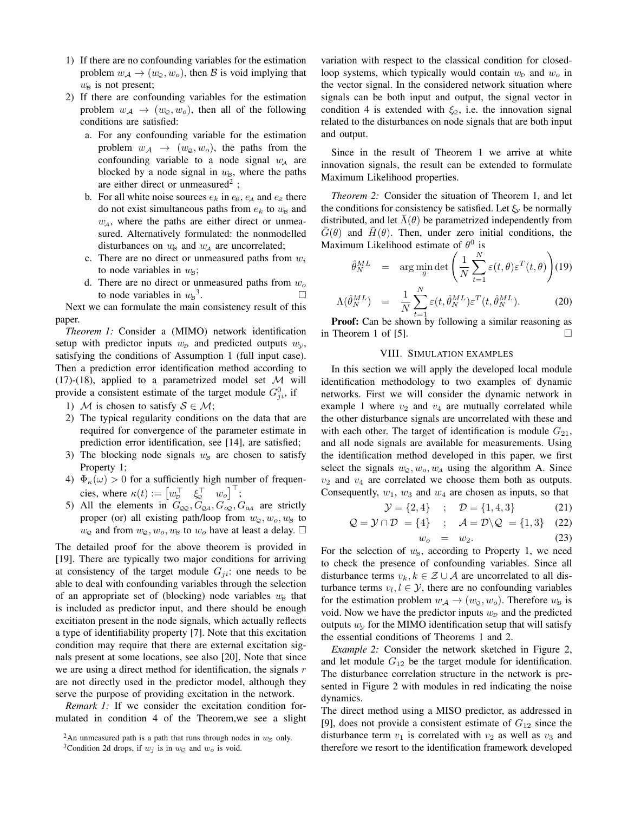- 1) If there are no confounding variables for the estimation problem  $w_{\mathcal{A}} \rightarrow (w_{\mathcal{Q}}, w_o)$ , then  $\mathcal B$  is void implying that  $w_{\mathcal{B}}$  is not present;
- 2) If there are confounding variables for the estimation problem  $w_A \rightarrow (w_{\mathcal{Q}}, w_o)$ , then all of the following conditions are satisfied:
	- a. For any confounding variable for the estimation problem  $w_{\mathcal{A}} \rightarrow (w_{\mathcal{O}}, w_{\mathcal{O}})$ , the paths from the confounding variable to a node signal  $w<sub>A</sub>$  are blocked by a node signal in  $w_{\beta}$ , where the paths are either direct or unmeasured<sup>2</sup>;
	- b. For all white noise sources  $e_k$  in  $e_{\beta}$ ,  $e_{\gamma}$  and  $e_{\gamma}$  there do not exist simultaneous paths from  $e_k$  to  $w_B$  and  $w<sub>4</sub>$ , where the paths are either direct or unmeasured. Alternatively formulated: the nonmodelled disturbances on  $w_B$  and  $w_A$  are uncorrelated;
	- c. There are no direct or unmeasured paths from  $w_i$ to node variables in  $w_{\beta}$ ;
	- d. There are no direct or unmeasured paths from  $w<sub>o</sub>$ to node variables in  $w_{\rm B}{}^3$ . — Первый профессиональный стандарт и профессиональный стандарт и профессиональный стандарт и профессиональны<br>В собстановки профессиональный стандарт профессиональный стандарт и профессиональный стандарт и профессиональн

Next we can formulate the main consistency result of this paper.

*Theorem 1:* Consider a (MIMO) network identification setup with predictor inputs  $w<sub>p</sub>$  and predicted outputs  $w<sub>v</sub>$ , satisfying the conditions of Assumption 1 (full input case). Then a prediction error identification method according to (17)-(18), applied to a parametrized model set  $\mathcal M$  will provide a consistent estimate of the target module  $G_{ji}^0$ , if

- 1) M is chosen to satisfy  $S \in \mathcal{M}$ ;
- 2) The typical regularity conditions on the data that are required for convergence of the parameter estimate in prediction error identification, see [14], are satisfied;
- 3) The blocking node signals  $w_B$  are chosen to satisfy Property 1;
- 4)  $\Phi_{\kappa}(\omega) > 0$  for a sufficiently high number of frequencies, where  $\kappa(t) := \begin{bmatrix} w_{\scriptscriptstyle D}^\top & \xi_{\scriptscriptstyle Q}^\top & w_o \end{bmatrix}^\top$ ;
- 5) All the elements in  $G_{\text{QQ}}$ ,  $G_{\text{QA}}$ ,  $G_{\text{QQ}}$ ,  $G_{\text{QA}}$  are strictly proper (or) all existing path/loop from  $w_{\mathcal{Q}}, w_o, w_{\mathcal{B}}$  to  $w_{\mathcal{O}}$  and from  $w_{\mathcal{O}}$ ,  $w_{\mathcal{O}}$ ,  $w_{\mathcal{B}}$  to  $w_{\mathcal{O}}$  have at least a delay.  $\square$

The detailed proof for the above theorem is provided in [19]. There are typically two major conditions for arriving at consistency of the target module  $G_{ji}$ : one needs to be able to deal with confounding variables through the selection of an appropriate set of (blocking) node variables  $w_B$  that is included as predictor input, and there should be enough excitiaton present in the node signals, which actually reflects a type of identifiability property [7]. Note that this excitation condition may require that there are external excitation signals present at some locations, see also [20]. Note that since we are using a direct method for identification, the signals  $r$ are not directly used in the predictor model, although they serve the purpose of providing excitation in the network.

*Remark 1:* If we consider the excitation condition formulated in condition 4 of the Theorem,we see a slight variation with respect to the classical condition for closedloop systems, which typically would contain  $w<sub>D</sub>$  and  $w<sub>o</sub>$  in the vector signal. In the considered network situation where signals can be both input and output, the signal vector in condition 4 is extended with  $\xi_0$ , i.e. the innovation signal related to the disturbances on node signals that are both input and output.

Since in the result of Theorem 1 we arrive at white innovation signals, the result can be extended to formulate Maximum Likelihood properties.

*Theorem 2:* Consider the situation of Theorem 1, and let the conditions for consistency be satisfied. Let  $\xi_{\nu}$  be normally distributed, and let  $\Lambda(\theta)$  be parametrized independently from  $G(\theta)$  and  $H(\theta)$ . Then, under zero initial conditions, the Maximum Likelihood estimate of  $\theta^0$  is

$$
\hat{\theta}_N^{ML} = \arg\min_{\theta} \det \left( \frac{1}{N} \sum_{t=1}^N \varepsilon(t, \theta) \varepsilon^T(t, \theta) \right) (19)
$$

$$
\Lambda(\hat{\theta}_N^{ML}) = \frac{1}{N} \sum_{t=1}^N \varepsilon(t, \hat{\theta}_N^{ML}) \varepsilon^T(t, \hat{\theta}_N^{ML}).
$$
 (20)

**Proof:** Can be shown by following a similar reasoning as in Theorem 1 of [5].  $\Box$ 

# VIII. SIMULATION EXAMPLES

In this section we will apply the developed local module identification methodology to two examples of dynamic networks. First we will consider the dynamic network in example 1 where  $v_2$  and  $v_4$  are mutually correlated while the other disturbance signals are uncorrelated with these and with each other. The target of identification is module  $G_{21}$ , and all node signals are available for measurements. Using the identification method developed in this paper, we first select the signals  $w_{\varphi}, w_{\varphi}, w_{\varphi}$  using the algorithm A. Since  $v_2$  and  $v_4$  are correlated we choose them both as outputs. Consequently,  $w_1$ ,  $w_3$  and  $w_4$  are chosen as inputs, so that

$$
\mathcal{Y} = \{2, 4\} \quad ; \quad \mathcal{D} = \{1, 4, 3\} \tag{21}
$$

$$
\mathcal{Q} = \mathcal{Y} \cap \mathcal{D} = \{4\} \quad ; \quad \mathcal{A} = \mathcal{D} \backslash \mathcal{Q} = \{1, 3\} \quad (22)
$$

$$
w_o = w_2. \t\t(23)
$$

For the selection of  $w_B$ , according to Property 1, we need to check the presence of confounding variables. Since all disturbance terms  $v_k, k \in \mathcal{Z} \cup \mathcal{A}$  are uncorrelated to all disturbance terms  $v_l, l \in \mathcal{Y}$ , there are no confounding variables for the estimation problem  $w_A \rightarrow (w_{\Omega}, w_{\Omega})$ . Therefore  $w_{\beta}$  is void. Now we have the predictor inputs  $w<sub>D</sub>$  and the predicted outputs  $w<sub>y</sub>$  for the MIMO identification setup that will satisfy the essential conditions of Theorems 1 and 2.

*Example 2:* Consider the network sketched in Figure 2, and let module  $G_{12}$  be the target module for identification. The disturbance correlation structure in the network is presented in Figure 2 with modules in red indicating the noise dynamics.

The direct method using a MISO predictor, as addressed in [9], does not provide a consistent estimate of  $G_{12}$  since the disturbance term  $v_1$  is correlated with  $v_2$  as well as  $v_3$  and therefore we resort to the identification framework developed

<sup>&</sup>lt;sup>2</sup>An unmeasured path is a path that runs through nodes in  $w_z$  only.

<sup>&</sup>lt;sup>3</sup>Condition 2d drops, if  $w_j$  is in  $w_{\mathcal{Q}}$  and  $w_o$  is void.